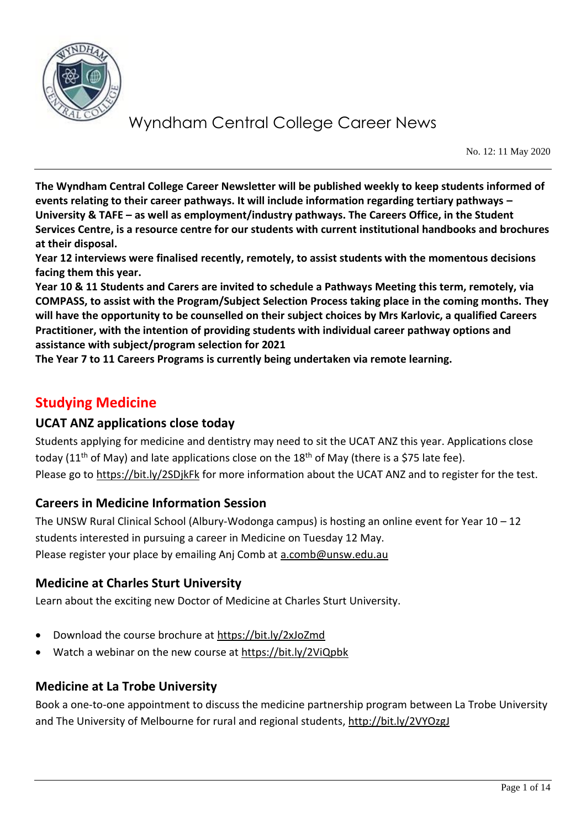

No. 12: 11 May 2020

**The Wyndham Central College Career Newsletter will be published weekly to keep students informed of events relating to their career pathways. It will include information regarding tertiary pathways – University & TAFE – as well as employment/industry pathways. The Careers Office, in the Student Services Centre, is a resource centre for our students with current institutional handbooks and brochures at their disposal.**

**Year 12 interviews were finalised recently, remotely, to assist students with the momentous decisions facing them this year.** 

**Year 10 & 11 Students and Carers are invited to schedule a Pathways Meeting this term, remotely, via COMPASS, to assist with the Program/Subject Selection Process taking place in the coming months. They will have the opportunity to be counselled on their subject choices by Mrs Karlovic, a qualified Careers Practitioner, with the intention of providing students with individual career pathway options and assistance with subject/program selection for 2021**

**The Year 7 to 11 Careers Programs is currently being undertaken via remote learning.**

## **Studying Medicine**

#### **UCAT ANZ applications close today**

Students applying for medicine and dentistry may need to sit the UCAT ANZ this year. Applications close today (11<sup>th</sup> of May) and late applications close on the 18<sup>th</sup> of May (there is a \$75 late fee). Please go to<https://bit.ly/2SDjkFk> for more information about the UCAT ANZ and to register for the test.

#### **Careers in Medicine Information Session**

The UNSW Rural Clinical School (Albury-Wodonga campus) is hosting an online event for Year 10 – 12 students interested in pursuing a career in Medicine on Tuesday 12 May. Please register your place by emailing Anj Comb at [a.comb@unsw.edu.au](mailto:a.comb@unsw.edu.au)

#### **Medicine at Charles Sturt University**

Learn about the exciting new Doctor of Medicine at Charles Sturt University.

- Download the course brochure at<https://bit.ly/2xJoZmd>
- Watch a webinar on the new course at<https://bit.ly/2ViQpbk>

#### **Medicine at La Trobe University**

Book a one-to-one appointment to discuss the medicine partnership program between La Trobe University and The University of Melbourne for rural and regional students,<http://bit.ly/2VYOzgJ>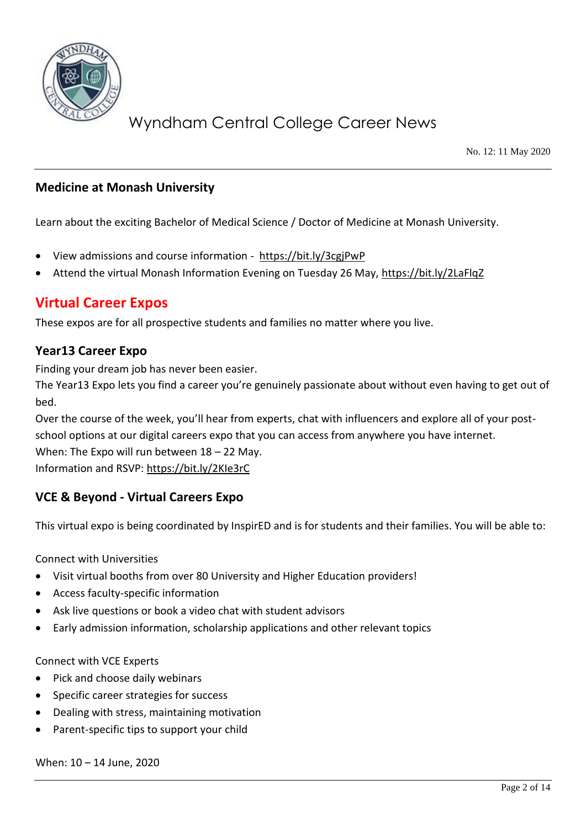

No. 12: 11 May 2020

### **Medicine at Monash University**

Learn about the exciting Bachelor of Medical Science / Doctor of Medicine at Monash University.

- View admissions and course information <https://bit.ly/3cgjPwP>
- Attend the virtual Monash Information Evening on Tuesday 26 May,<https://bit.ly/2LaFlqZ>

## **Virtual Career Expos**

These expos are for all prospective students and families no matter where you live.

#### **Year13 Career Expo**

Finding your dream job has never been easier.

The Year13 Expo lets you find a career you're genuinely passionate about without even having to get out of bed.

Over the course of the week, you'll hear from experts, chat with influencers and explore all of your postschool options at our digital careers expo that you can access from anywhere you have internet. When: The Expo will run between 18 – 22 May. Information and RSVP:<https://bit.ly/2KIe3rC>

#### **VCE & Beyond - Virtual Careers Expo**

This virtual expo is being coordinated by InspirED and is for students and their families. You will be able to:

Connect with Universities

- Visit virtual booths from over 80 University and Higher Education providers!
- Access faculty-specific information
- Ask live questions or book a video chat with student advisors
- Early admission information, scholarship applications and other relevant topics

Connect with VCE Experts

- Pick and choose daily webinars
- Specific career strategies for success
- Dealing with stress, maintaining motivation
- Parent-specific tips to support your child

When: 10 – 14 June, 2020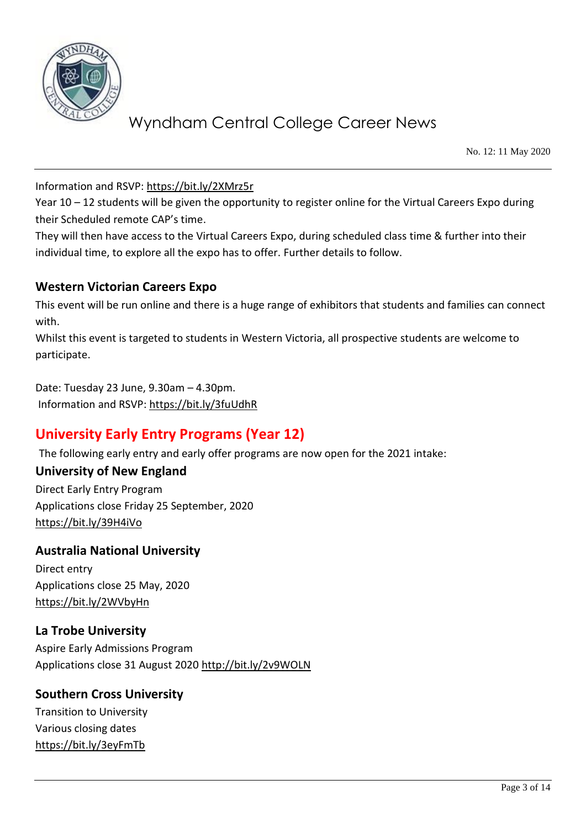

No. 12: 11 May 2020

Information and RSVP:<https://bit.ly/2XMrz5r>

Year 10 – 12 students will be given the opportunity to register online for the Virtual Careers Expo during their Scheduled remote CAP's time.

They will then have access to the Virtual Careers Expo, during scheduled class time & further into their individual time, to explore all the expo has to offer. Further details to follow.

### **Western Victorian Careers Expo**

This event will be run online and there is a huge range of exhibitors that students and families can connect with.

Whilst this event is targeted to students in Western Victoria, all prospective students are welcome to participate.

Date: Tuesday 23 June, 9.30am – 4.30pm. Information and RSVP[: https://bit.ly/3fuUdhR](https://bit.ly/3fuUdhR)

## **University Early Entry Programs (Year 12)**

The following early entry and early offer programs are now open for the 2021 intake:

#### **University of New England**

Direct Early Entry Program Applications close Friday 25 September, 2020 <https://bit.ly/39H4iVo>

#### **Australia National University**

Direct entry Applications close 25 May, 2020 <https://bit.ly/2WVbyHn>

### **La Trobe University**

Aspire Early Admissions Program Applications close 31 August 2020<http://bit.ly/2v9WOLN>

#### **Southern Cross University**

Transition to University Various closing dates <https://bit.ly/3eyFmTb>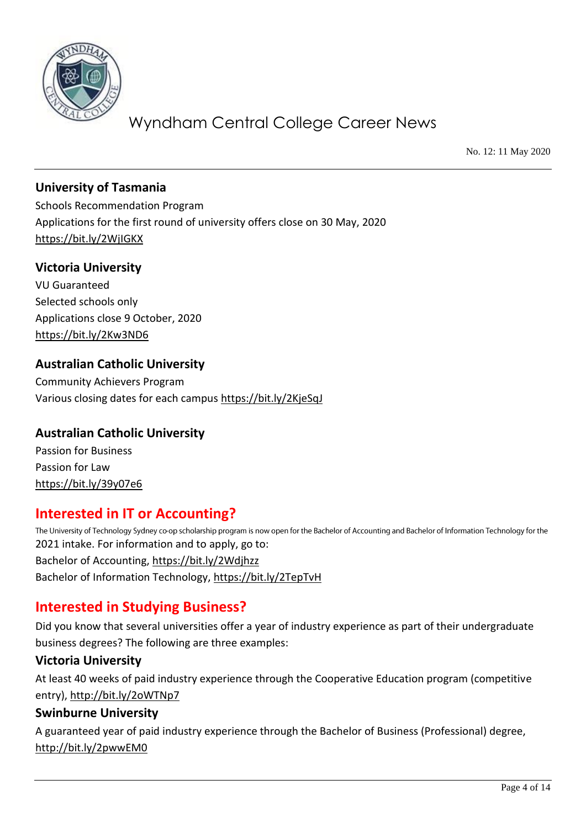

No. 12: 11 May 2020

### **University of Tasmania**

Schools Recommendation Program Applications for the first round of university offers close on 30 May, 2020 <https://bit.ly/2WjIGKX>

#### **Victoria University**

VU Guaranteed Selected schools only Applications close 9 October, 2020 <https://bit.ly/2Kw3ND6>

#### **Australian Catholic University**

Community Achievers Program Various closing dates for each campus<https://bit.ly/2KjeSqJ>

#### **Australian Catholic University**

Passion for Business Passion for Law <https://bit.ly/39y07e6>

### **Interested in IT or Accounting?**

The University of Technology Sydney co-op scholarship program is now open for the Bachelor of Accounting and Bachelor of Information Technology for the 2021 intake. For information and to apply, go to: Bachelor of Accounting,<https://bit.ly/2Wdjhzz> Bachelor of Information Technology,<https://bit.ly/2TepTvH>

### **Interested in Studying Business?**

Did you know that several universities offer a year of industry experience as part of their undergraduate business degrees? The following are three examples:

#### **Victoria University**

At least 40 weeks of paid industry experience through the Cooperative Education program (competitive entry),<http://bit.ly/2oWTNp7>

#### **Swinburne University**

A guaranteed year of paid industry experience through the Bachelor of Business (Professional) degree, <http://bit.ly/2pwwEM0>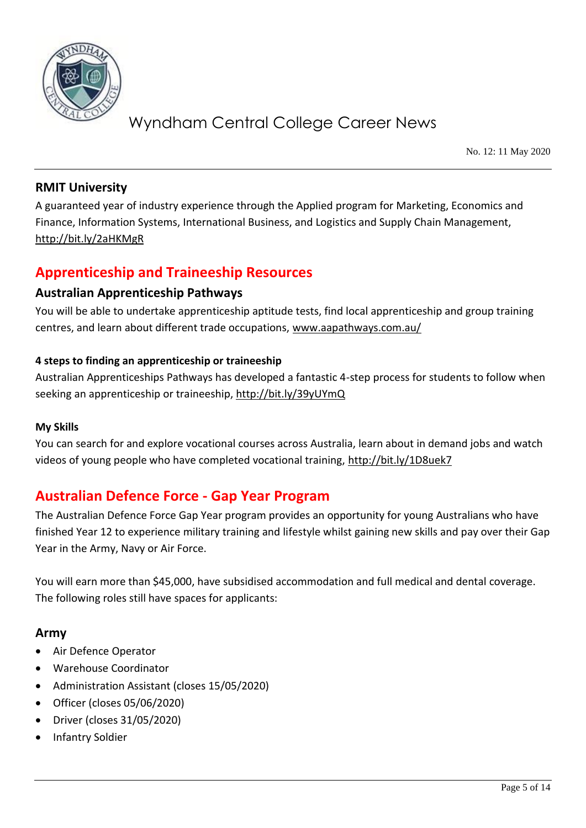

No. 12: 11 May 2020

### **RMIT University**

A guaranteed year of industry experience through the Applied program for Marketing, Economics and Finance, Information Systems, International Business, and Logistics and Supply Chain Management, <http://bit.ly/2aHKMgR>

## **Apprenticeship and Traineeship Resources**

#### **Australian Apprenticeship Pathways**

You will be able to undertake apprenticeship aptitude tests, find local apprenticeship and group training centres, and learn about different trade occupations, [www.aapathways.com.au/](http://www.aapathways.com.au/)

#### **4 steps to finding an apprenticeship or traineeship**

Australian Apprenticeships Pathways has developed a fantastic 4-step process for students to follow when seeking an apprenticeship or traineeship[, http://bit.ly/39yUYmQ](http://bit.ly/39yUYmQ)

#### **My Skills**

You can search for and explore vocational courses across Australia, learn about in demand jobs and watch videos of young people who have completed vocational training,<http://bit.ly/1D8uek7>

## **Australian Defence Force - Gap Year Program**

The Australian Defence Force Gap Year program provides an opportunity for young Australians who have finished Year 12 to experience military training and lifestyle whilst gaining new skills and pay over their Gap Year in the Army, Navy or Air Force.

You will earn more than \$45,000, have subsidised accommodation and full medical and dental coverage. The following roles still have spaces for applicants:

### **Army**

- Air Defence Operator
- Warehouse Coordinator
- Administration Assistant (closes 15/05/2020)
- Officer (closes 05/06/2020)
- Driver (closes 31/05/2020)
- Infantry Soldier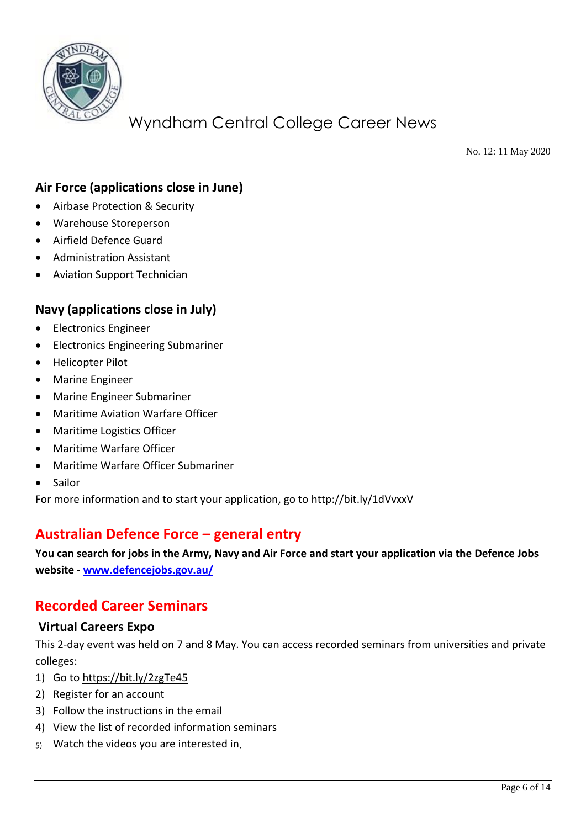

No. 12: 11 May 2020

### **Air Force (applications close in June)**

- Airbase Protection & Security
- Warehouse Storeperson
- Airfield Defence Guard
- Administration Assistant
- Aviation Support Technician

#### **Navy (applications close in July)**

- Electronics Engineer
- Electronics Engineering Submariner
- Helicopter Pilot
- Marine Engineer
- Marine Engineer Submariner
- Maritime Aviation Warfare Officer
- Maritime Logistics Officer
- Maritime Warfare Officer
- Maritime Warfare Officer Submariner
- Sailor

For more information and to start your application, go to<http://bit.ly/1dVvxxV>

### **Australian Defence Force – general entry**

**You can search for jobs in the Army, Navy and Air Force and start your application via the Defence Jobs website - [www.defencejobs.gov.au/](http://www.defencejobs.gov.au/)**

### **Recorded Career Seminars**

#### **Virtual Careers Expo**

This 2-day event was held on 7 and 8 May. You can access recorded seminars from universities and private colleges:

- 1) Go t[o https://bit.ly/2zgTe45](https://bit.ly/2zgTe45)
- 2) Register for an account
- 3) Follow the instructions in the email
- 4) View the list of recorded information seminars
- Watch the videos you are interested in $5)$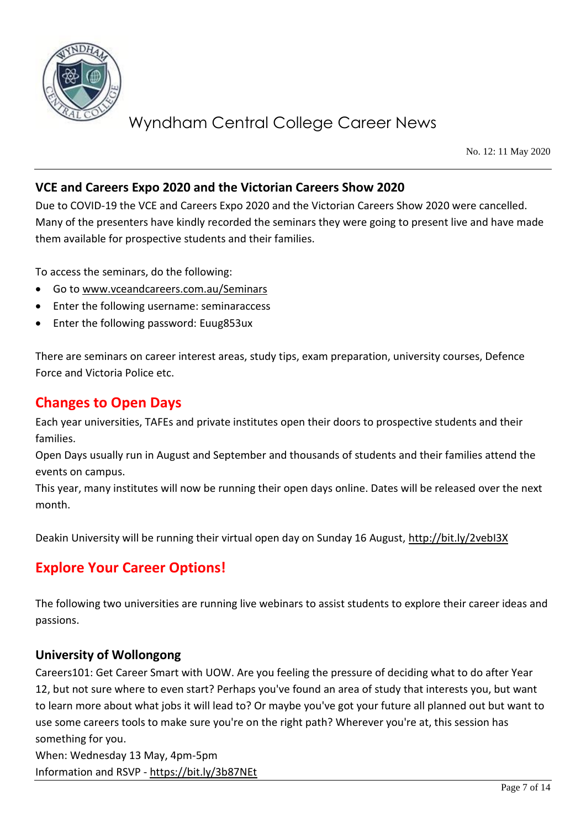

No. 12: 11 May 2020

### **VCE and Careers Expo 2020 and the Victorian Careers Show 2020**

Due to COVID-19 the VCE and Careers Expo 2020 and the Victorian Careers Show 2020 were cancelled. Many of the presenters have kindly recorded the seminars they were going to present live and have made them available for prospective students and their families.

To access the seminars, do the following:

- Go t[o www.vceandcareers.com.au/Seminars](http://www.vceandcareers.com.au/Seminars)
- Enter the following username: seminaraccess
- Enter the following password: Euug853ux

There are seminars on career interest areas, study tips, exam preparation, university courses, Defence Force and Victoria Police etc.

### **Changes to Open Days**

Each year universities, TAFEs and private institutes open their doors to prospective students and their families.

Open Days usually run in August and September and thousands of students and their families attend the events on campus.

This year, many institutes will now be running their open days online. Dates will be released over the next month.

Deakin University will be running their virtual open day on Sunday 16 August,<http://bit.ly/2vebI3X>

## **Explore Your Career Options!**

The following two universities are running live webinars to assist students to explore their career ideas and passions.

#### **University of Wollongong**

Careers101: Get Career Smart with UOW. Are you feeling the pressure of deciding what to do after Year 12, but not sure where to even start? Perhaps you've found an area of study that interests you, but want to learn more about what jobs it will lead to? Or maybe you've got your future all planned out but want to use some careers tools to make sure you're on the right path? Wherever you're at, this session has something for you.

When: Wednesday 13 May, 4pm-5pm Information and RSVP - <https://bit.ly/3b87NEt>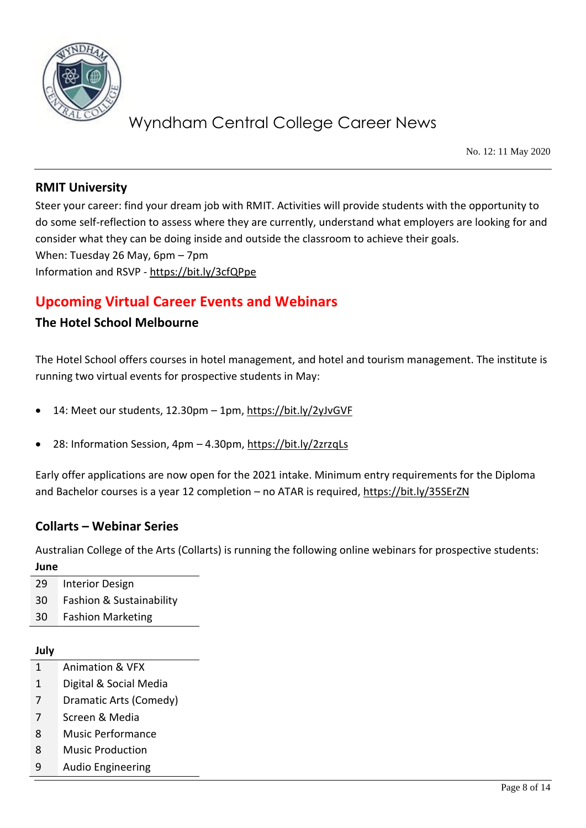

No. 12: 11 May 2020

### **RMIT University**

Steer your career: find your dream job with RMIT. Activities will provide students with the opportunity to do some self-reflection to assess where they are currently, understand what employers are looking for and consider what they can be doing inside and outside the classroom to achieve their goals. When: Tuesday 26 May, 6pm – 7pm Information and RSVP - <https://bit.ly/3cfQPpe>

## **Upcoming Virtual Career Events and Webinars**

### **The Hotel School Melbourne**

The Hotel School offers courses in hotel management, and hotel and tourism management. The institute is running two virtual events for prospective students in May:

- 14: Meet our students, 12.30pm 1pm,<https://bit.ly/2yJvGVF>
- 28: Information Session, 4pm 4.30pm,<https://bit.ly/2zrzqLs>

Early offer applications are now open for the 2021 intake. Minimum entry requirements for the Diploma and Bachelor courses is a year 12 completion – no ATAR is required,<https://bit.ly/35SErZN>

#### **Collarts – Webinar Series**

Australian College of the Arts (Collarts) is running the following online webinars for prospective students: **June**

29 Interior Design 30 Fashion & Sustainability 30 Fashion Marketing

#### **July**

- 1 Animation & VFX
- 1 Digital & Social Media
- 7 Dramatic Arts (Comedy)
- 7 Screen & Media
- 8 Music Performance
- 8 Music Production
- 9 Audio Engineering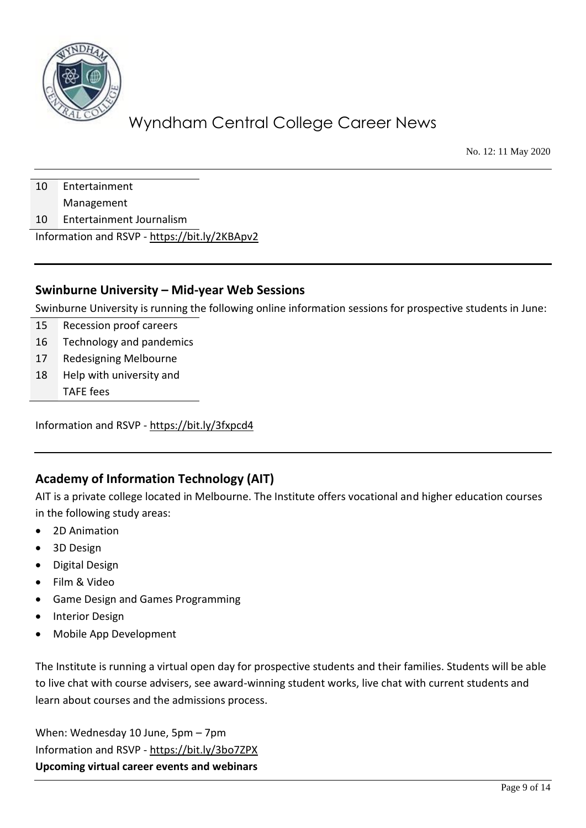

No. 12: 11 May 2020

10 Entertainment

Management

10 Entertainment Journalism

Information and RSVP - <https://bit.ly/2KBApv2>

#### **Swinburne University – Mid-year Web Sessions**

Swinburne University is running the following online information sessions for prospective students in June:

- 15 Recession proof careers
- 16 Technology and pandemics
- 17 Redesigning Melbourne
- 18 Help with university and TAFE fees

Information and RSVP - <https://bit.ly/3fxpcd4>

## **Academy of Information Technology (AIT)**

AIT is a private college located in Melbourne. The Institute offers vocational and higher education courses in the following study areas:

- 2D Animation
- 3D Design
- Digital Design
- Film & Video
- Game Design and Games Programming
- **Interior Design**
- Mobile App Development

The Institute is running a virtual open day for prospective students and their families. Students will be able to live chat with course advisers, see award-winning student works, live chat with current students and learn about courses and the admissions process.

When: Wednesday 10 June, 5pm – 7pm Information and RSVP - <https://bit.ly/3bo7ZPX> **Upcoming virtual career events and webinars**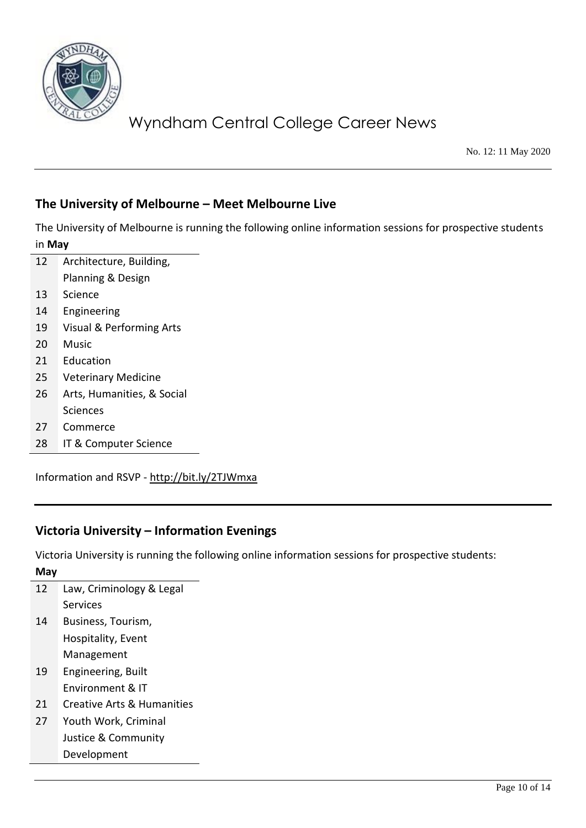

No. 12: 11 May 2020

### **The University of Melbourne – Meet Melbourne Live**

The University of Melbourne is running the following online information sessions for prospective students in **May**

| 12 | Architecture, Building,             |
|----|-------------------------------------|
|    | Planning & Design                   |
| 13 | Science                             |
| 14 | Engineering                         |
| 19 | <b>Visual &amp; Performing Arts</b> |
| 20 | Music                               |
| 21 | Education                           |
| 25 | <b>Veterinary Medicine</b>          |
| 26 | Arts, Humanities, & Social          |
|    | Sciences                            |
| 27 | Commerce                            |

28 IT & Computer Science

Information and RSVP - <http://bit.ly/2TJWmxa>

## **Victoria University – Information Evenings**

Victoria University is running the following online information sessions for prospective students: **May**

| 12 | Law, Criminology & Legal   |
|----|----------------------------|
|    | Services                   |
| 14 | Business, Tourism,         |
|    | Hospitality, Event         |
|    | Management                 |
| 19 | Engineering, Built         |
|    | Environment & IT           |
| 21 | Creative Arts & Humanities |
| 27 | Youth Work, Criminal       |
|    | Justice & Community        |
|    | Development                |
|    |                            |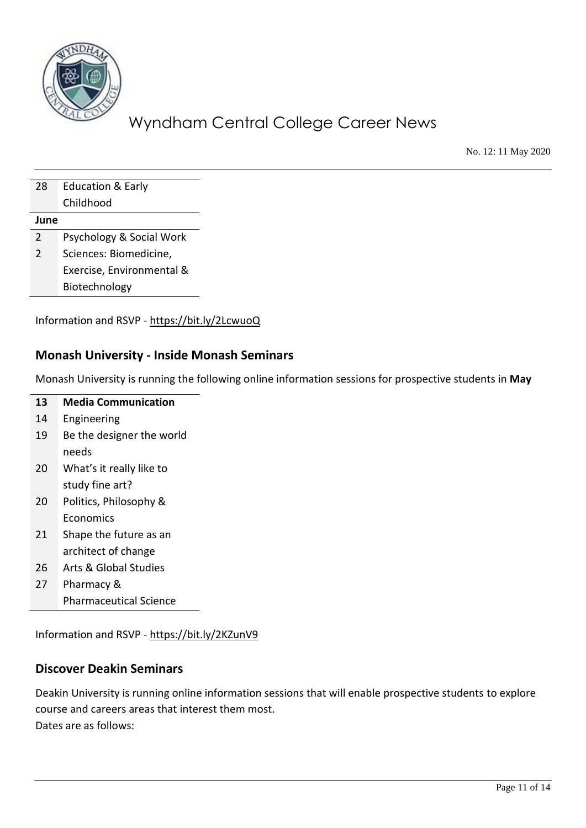

No. 12: 11 May 2020

| 28   | <b>Education &amp; Early</b> |
|------|------------------------------|
|      | Childhood                    |
| June |                              |
| 2    | Psychology & Social Work     |
| 2    | Sciences: Biomedicine,       |
|      | Exercise, Environmental &    |
|      | Biotechnology                |

Information and RSVP - <https://bit.ly/2LcwuoQ>

#### **Monash University - Inside Monash Seminars**

Monash University is running the following online information sessions for prospective students in **May**

| 13 | <b>Media Communication</b> |
|----|----------------------------|
| 14 | Engineering                |
| 19 | Be the designer the world  |
|    | needs                      |
| 20 | What's it really like to   |
|    | study fine art?            |
| 20 | Politics, Philosophy &     |
|    | Economics                  |
| 21 | Shape the future as an     |
|    | architect of change        |
| ີ  | Arte 8. Clahal Ctudioc     |

- 26 Arts & Global Studies
- 27 Pharmacy & Pharmaceutical Science

Information and RSVP - <https://bit.ly/2KZunV9>

#### **Discover Deakin Seminars**

Deakin University is running online information sessions that will enable prospective students to explore course and careers areas that interest them most. Dates are as follows: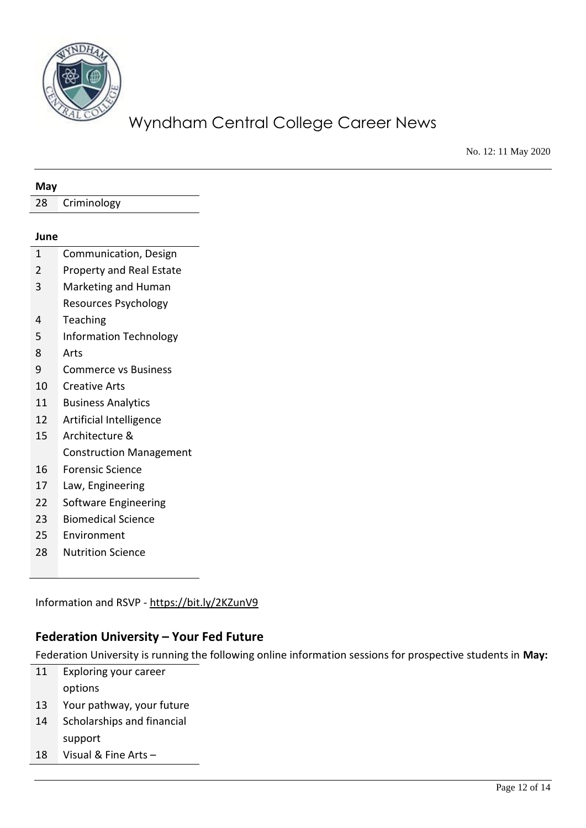

No. 12: 11 May 2020

| 28             |                                |
|----------------|--------------------------------|
|                | Criminology                    |
|                |                                |
| June           |                                |
| $\mathbf{1}$   | Communication, Design          |
| $\overline{2}$ | Property and Real Estate       |
| 3              | Marketing and Human            |
|                | <b>Resources Psychology</b>    |
| 4              | Teaching                       |
| 5              | <b>Information Technology</b>  |
| 8              | Arts                           |
| 9              | <b>Commerce vs Business</b>    |
| 10             | <b>Creative Arts</b>           |
| 11             | <b>Business Analytics</b>      |
| 12             | Artificial Intelligence        |
| 15             | Architecture &                 |
|                | <b>Construction Management</b> |
| 16             | <b>Forensic Science</b>        |
| 17             | Law, Engineering               |
| 22             | Software Engineering           |
| 23             | <b>Biomedical Science</b>      |
| 25             | Environment                    |
| 28             | <b>Nutrition Science</b>       |
|                |                                |

Information and RSVP - <https://bit.ly/2KZunV9>

### **Federation University – Your Fed Future**

Federation University is running the following online information sessions for prospective students in **May:**

- Exploring your career options Your pathway, your future
- Scholarships and financial
- support Visual & Fine Arts –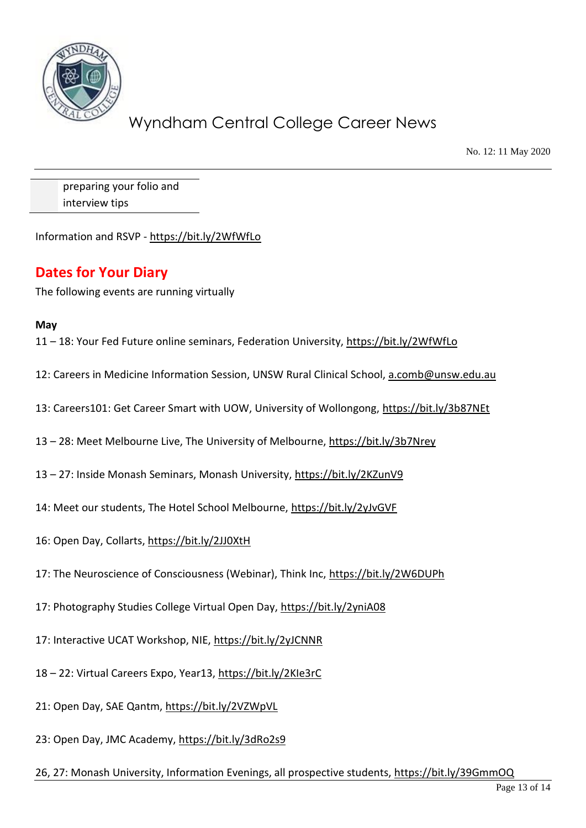

No. 12: 11 May 2020

preparing your folio and interview tips

Information and RSVP - <https://bit.ly/2WfWfLo>

### **Dates for Your Diary**

The following events are running virtually

#### **May**

11 – 18: Your Fed Future online seminars, Federation University,<https://bit.ly/2WfWfLo>

12: Careers in Medicine Information Session, UNSW Rural Clinical School, [a.comb@unsw.edu.au](mailto:a.comb@unsw.edu.au)

13: Careers101: Get Career Smart with UOW, University of Wollongong,<https://bit.ly/3b87NEt>

13 – 28: Meet Melbourne Live, The University of Melbourne,<https://bit.ly/3b7Nrey>

13 – 27: Inside Monash Seminars, Monash University,<https://bit.ly/2KZunV9>

14: Meet our students, The Hotel School Melbourne,<https://bit.ly/2yJvGVF>

- 16: Open Day, Collarts,<https://bit.ly/2JJ0XtH>
- 17: The Neuroscience of Consciousness (Webinar), Think Inc,<https://bit.ly/2W6DUPh>
- 17: Photography Studies College Virtual Open Day,<https://bit.ly/2yniA08>
- 17: Interactive UCAT Workshop, NIE,<https://bit.ly/2yJCNNR>
- 18 22: Virtual Careers Expo, Year13,<https://bit.ly/2KIe3rC>
- 21: Open Day, SAE Qantm,<https://bit.ly/2VZWpVL>
- 23: Open Day, JMC Academy,<https://bit.ly/3dRo2s9>

26, 27: Monash University, Information Evenings, all prospective students,<https://bit.ly/39GmmOQ>